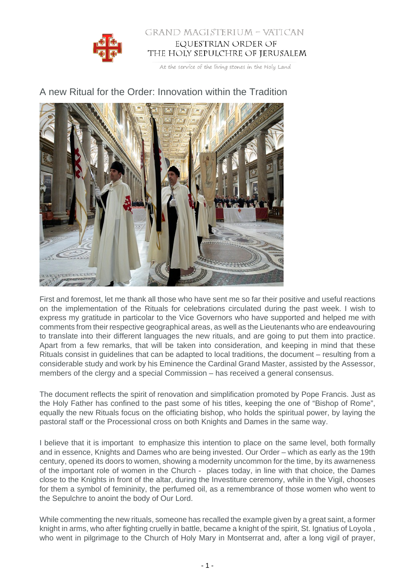

## GRAND MAGISTERIUM - VATICAN EQUESTRIAN ORDER OF THE HOLY SEPULCHRE OF JERUSALEM

At the service of the living stones in the Holy Land



## A new Ritual for the Order: Innovation within the Tradition

First and foremost, let me thank all those who have sent me so far their positive and useful reactions on the implementation of the Rituals for celebrations circulated during the past week. I wish to express my gratitude in particolar to the Vice Governors who have supported and helped me with comments from their respective geographical areas, as well as the Lieutenants who are endeavouring to translate into their different languages the new rituals, and are going to put them into practice. Apart from a few remarks, that will be taken into consideration, and keeping in mind that these Rituals consist in guidelines that can be adapted to local traditions, the document – resulting from a considerable study and work by his Eminence the Cardinal Grand Master, assisted by the Assessor, members of the clergy and a special Commission – has received a general consensus.

The document reflects the spirit of renovation and simplification promoted by Pope Francis. Just as the Holy Father has confined to the past some of his titles, keeping the one of "Bishop of Rome", equally the new Rituals focus on the officiating bishop, who holds the spiritual power, by laying the pastoral staff or the Processional cross on both Knights and Dames in the same way.

I believe that it is important to emphasize this intention to place on the same level, both formally and in essence, Knights and Dames who are being invested. Our Order – which as early as the 19th century, opened its doors to women, showing a modernity uncommon for the time, by its awarneness of the important role of women in the Church - places today, in line with that choice, the Dames close to the Knights in front of the altar, during the Investiture ceremony, while in the Vigil, chooses for them a symbol of femininity, the perfumed oil, as a remembrance of those women who went to the Sepulchre to anoint the body of Our Lord.

While commenting the new rituals, someone has recalled the example given by a great saint, a former knight in arms, who after fighting cruelly in battle, became a knight of the spirit, St. Ignatius of Loyola , who went in pilgrimage to the Church of Holy Mary in Montserrat and, after a long vigil of prayer,